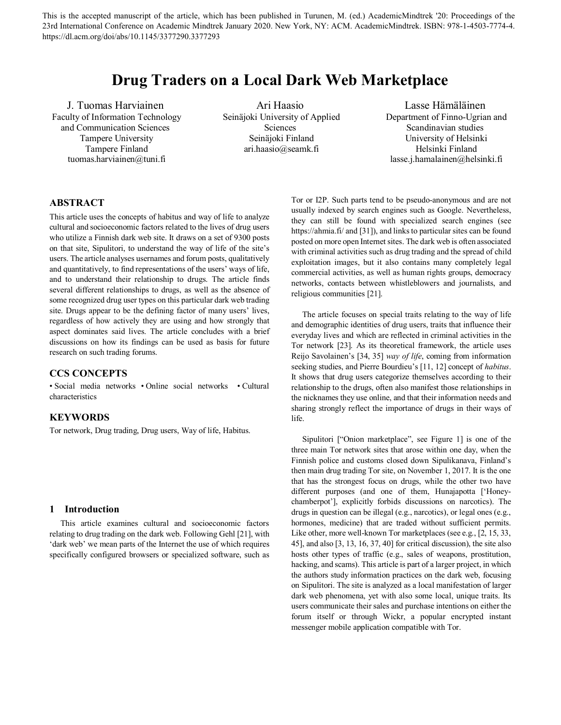This is the accepted manuscript of the article, which has been published in Turunen, M. (ed.) AcademicMindtrek '20: Proceedings of the 23rd International Conference on Academic Mindtrek January 2020. New York, NY: ACM. AcademicMindtrek. ISBN: 978-1-4503-7774-4. https://dl.acm.org/doi/abs/10.1145/3377290.3377293

# **Drug Traders on a Local Dark Web Marketplace**

J. Tuomas Harviainen Faculty of Information Technology and Communication Sciences Tampere University Tampere Finland tuomas.harviainen@tuni.fi

Ari Haasio Seinäjoki University of Applied Sciences  [Seinäjoki Finland](mailto:email@email.com) ari.haasio@seamk.fi

Lasse Hämäläinen Department of Finno-Ugrian and Scandinavian studies University of Helsinki Helsinki Finland lasse.j.hamalainen@helsinki.fi

# **ABSTRACT**

This article uses the concepts of habitus and way of life to analyze cultural and socioeconomic factors related to the lives of drug users who utilize a Finnish dark web site. It draws on a set of 9300 posts on that site, Sipulitori, to understand the way of life of the site's users. The article analyses usernames and forum posts, qualitatively and quantitatively, to find representations of the users' ways of life, and to understand their relationship to drugs. The article finds several different relationships to drugs, as well as the absence of some recognized drug user types on this particular dark web trading site. Drugs appear to be the defining factor of many users' lives, regardless of how actively they are using and how strongly that aspect dominates said lives. The article concludes with a brief discussions on how its findings can be used as basis for future research on such trading forums.

# **CCS CONCEPTS**

• Social media networks • Online social networks • Cultural characteristics

#### **KEYWORDS**

Tor network, Drug trading, Drug users, Way of life, Habitus.

#### **1 Introduction**

This article examines cultural and socioeconomic factors relating to drug trading on the dark web. Following Gehl [21], with 'dark web' we mean parts of the Internet the use of which requires specifically configured browsers or specialized software, such as Tor or I2P. Such parts tend to be pseudo-anonymous and are not usually indexed by search engines such as Google. Nevertheless, they can still be found with specialized search engines (see https://ahmia.fi/ and [31]), and links to particular sites can be found posted on more open Internet sites. The dark web is often associated with criminal activities such as drug trading and the spread of child exploitation images, but it also contains many completely legal commercial activities, as well as human rights groups, democracy networks, contacts between whistleblowers and journalists, and religious communities [21].

The article focuses on special traits relating to the way of life and demographic identities of drug users, traits that influence their everyday lives and which are reflected in criminal activities in the Tor network [23]. As its theoretical framework, the article uses Reijo Savolainen's [34, 35] *way of life*, coming from information seeking studies, and Pierre Bourdieu's [11, 12] concept of *habitus*. It shows that drug users categorize themselves according to their relationship to the drugs, often also manifest those relationships in the nicknames they use online, and that their information needs and sharing strongly reflect the importance of drugs in their ways of life.

Sipulitori ["Onion marketplace", see Figure 1] is one of the three main Tor network sites that arose within one day, when the Finnish police and customs closed down Sipulikanava, Finland's then main drug trading Tor site, on November 1, 2017. It is the one that has the strongest focus on drugs, while the other two have different purposes (and one of them, Hunajapotta ['Honeychamberpot'], explicitly forbids discussions on narcotics). The drugs in question can be illegal (e.g., narcotics), or legal ones (e.g., hormones, medicine) that are traded without sufficient permits. Like other, more well-known Tor marketplaces (see e.g., [2, 15, 33, 45], and also [3, 13, 16, 37, 40] for critical discussion), the site also hosts other types of traffic (e.g., sales of weapons, prostitution, hacking, and scams). This article is part of a larger project, in which the authors study information practices on the dark web, focusing on Sipulitori. The site is analyzed as a local manifestation of larger dark web phenomena, yet with also some local, unique traits. Its users communicate their sales and purchase intentions on either the forum itself or through Wickr, a popular encrypted instant messenger mobile application compatible with Tor.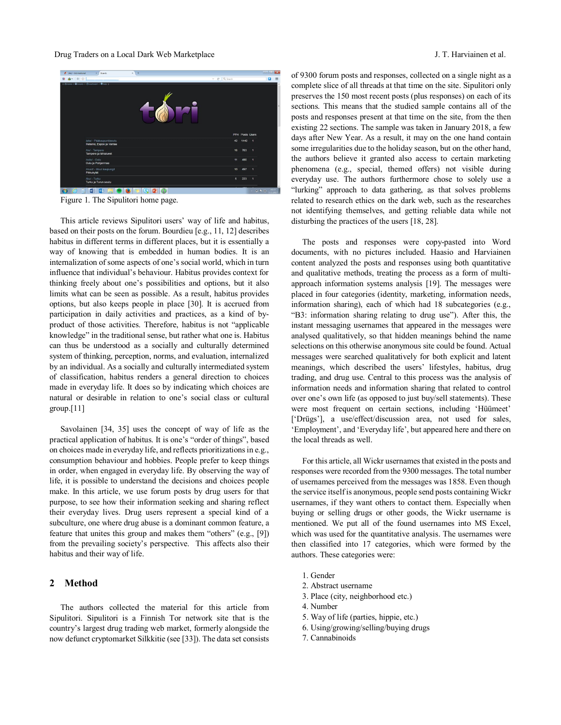

Figure 1. The Sipulitori home page.

This article reviews Sipulitori users' way of life and habitus, based on their posts on the forum. Bourdieu [e.g., 11, 12] describes habitus in different terms in different places, but it is essentially a way of knowing that is embedded in human bodies. It is an internalization of some aspects of one's social world, which in turn influence that individual's behaviour. Habitus provides context for thinking freely about one's possibilities and options, but it also limits what can be seen as possible. As a result, habitus provides options, but also keeps people in place [30]. It is accrued from participation in daily activities and practices, as a kind of byproduct of those activities. Therefore, habitus is not "applicable knowledge" in the traditional sense, but rather what one is. Habitus can thus be understood as a socially and culturally determined system of thinking, perception, norms, and evaluation, internalized by an individual. As a socially and culturally intermediated system of classification, habitus renders a general direction to choices made in everyday life. It does so by indicating which choices are natural or desirable in relation to one's social class or cultural group.[11]

Savolainen [34, 35] uses the concept of way of life as the practical application of habitus. It is one's "order of things", based on choices made in everyday life, and reflects prioritizations in e.g., consumption behaviour and hobbies. People prefer to keep things in order, when engaged in everyday life. By observing the way of life, it is possible to understand the decisions and choices people make. In this article, we use forum posts by drug users for that purpose, to see how their information seeking and sharing reflect their everyday lives. Drug users represent a special kind of a subculture, one where drug abuse is a dominant common feature, a feature that unites this group and makes them "others" (e.g., [9]) from the prevailing society's perspective. This affects also their habitus and their way of life.

# **2 Method**

The authors collected the material for this article from Sipulitori. Sipulitori is a Finnish Tor network site that is the country's largest drug trading web market, formerly alongside the now defunct cryptomarket Silkkitie (see [33]). The data set consists

of 9300 forum posts and responses, collected on a single night as a complete slice of all threads at that time on the site. Sipulitori only preserves the 150 most recent posts (plus responses) on each of its sections. This means that the studied sample contains all of the posts and responses present at that time on the site, from the then existing 22 sections. The sample was taken in January 2018, a few days after New Year. As a result, it may on the one hand contain some irregularities due to the holiday season, but on the other hand, the authors believe it granted also access to certain marketing phenomena (e.g., special, themed offers) not visible during everyday use. The authors furthermore chose to solely use a "lurking" approach to data gathering, as that solves problems related to research ethics on the dark web, such as the researches not identifying themselves, and getting reliable data while not disturbing the practices of the users [18, 28].

The posts and responses were copy-pasted into Word documents, with no pictures included. Haasio and Harviainen content analyzed the posts and responses using both quantitative and qualitative methods, treating the process as a form of multiapproach information systems analysis [19]. The messages were placed in four categories (identity, marketing, information needs, information sharing), each of which had 18 subcategories (e.g., "B3: information sharing relating to drug use"). After this, the instant messaging usernames that appeared in the messages were analysed qualitatively, so that hidden meanings behind the name selections on this otherwise anonymous site could be found. Actual messages were searched qualitatively for both explicit and latent meanings, which described the users' lifestyles, habitus, drug trading, and drug use. Central to this process was the analysis of information needs and information sharing that related to control over one's own life (as opposed to just buy/sell statements). These were most frequent on certain sections, including 'Hüümeet' ['Drügs'], a use/effect/discussion area, not used for sales, 'Employment', and 'Everyday life', but appeared here and there on the local threads as well.

For this article, all Wickr usernames that existed in the posts and responses were recorded from the 9300 messages. The total number of usernames perceived from the messages was 1858. Even though the service itself is anonymous, people send posts containing Wickr usernames, if they want others to contact them. Especially when buying or selling drugs or other goods, the Wickr username is mentioned. We put all of the found usernames into MS Excel, which was used for the quantitative analysis. The usernames were then classified into 17 categories, which were formed by the authors. These categories were:

- 1. Gender
- 2. Abstract username
- 3. Place (city, neighborhood etc.)
- 4. Number
- 5. Way of life (parties, hippie, etc.)
- 6. Using/growing/selling/buying drugs
- 7. Cannabinoids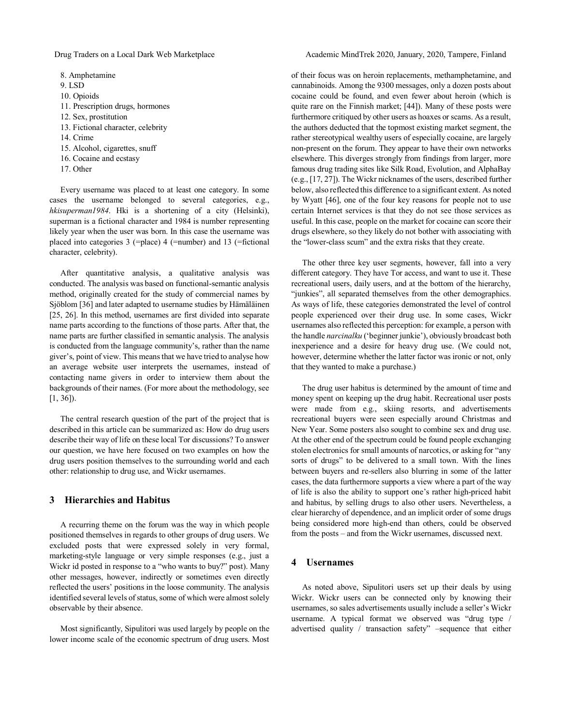8. Amphetamine 9. LSD 10. Opioids 11. Prescription drugs, hormones 12. Sex, prostitution 13. Fictional character, celebrity 14. Crime 15. Alcohol, cigarettes, snuff 16. Cocaine and ecstasy 17. Other

Every username was placed to at least one category. In some cases the username belonged to several categories, e.g., *hkisuperman1984*. Hki is a shortening of a city (Helsinki), superman is a fictional character and 1984 is number representing likely year when the user was born. In this case the username was placed into categories 3 (=place) 4 (=number) and 13 (=fictional character, celebrity).

After quantitative analysis, a qualitative analysis was conducted. The analysis was based on functional-semantic analysis method, originally created for the study of commercial names by Sjöblom [36] and later adapted to username studies by Hämäläinen [25, 26]. In this method, usernames are first divided into separate name parts according to the functions of those parts. After that, the name parts are further classified in semantic analysis. The analysis is conducted from the language community's, rather than the name giver's, point of view. This means that we have tried to analyse how an average website user interprets the usernames, instead of contacting name givers in order to interview them about the backgrounds of their names. (For more about the methodology, see [1, 36]).

The central research question of the part of the project that is described in this article can be summarized as: How do drug users describe their way of life on these local Tor discussions? To answer our question, we have here focused on two examples on how the drug users position themselves to the surrounding world and each other: relationship to drug use, and Wickr usernames.

## **3 Hierarchies and Habitus**

A recurring theme on the forum was the way in which people positioned themselves in regards to other groups of drug users. We excluded posts that were expressed solely in very formal, marketing-style language or very simple responses (e.g., just a Wickr id posted in response to a "who wants to buy?" post). Many other messages, however, indirectly or sometimes even directly reflected the users' positions in the loose community. The analysis identified several levels of status, some of which were almost solely observable by their absence.

Most significantly, Sipulitori was used largely by people on the lower income scale of the economic spectrum of drug users. Most of their focus was on heroin replacements, methamphetamine, and cannabinoids. Among the 9300 messages, only a dozen posts about cocaine could be found, and even fewer about heroin (which is quite rare on the Finnish market; [44]). Many of these posts were furthermore critiqued by other users as hoaxes or scams. As a result, the authors deducted that the topmost existing market segment, the rather stereotypical wealthy users of especially cocaine, are largely non-present on the forum. They appear to have their own networks elsewhere. This diverges strongly from findings from larger, more famous drug trading sites like Silk Road, Evolution, and AlphaBay (e.g., [17, 27]). The Wickr nicknames of the users, described further below, also reflected this difference to a significant extent. As noted by Wyatt [46], one of the four key reasons for people not to use certain Internet services is that they do not see those services as useful. In this case, people on the market for cocaine can score their drugs elsewhere, so they likely do not bother with associating with the "lower-class scum" and the extra risks that they create.

The other three key user segments, however, fall into a very different category. They have Tor access, and want to use it. These recreational users, daily users, and at the bottom of the hierarchy, "junkies", all separated themselves from the other demographics. As ways of life, these categories demonstrated the level of control people experienced over their drug use. In some cases, Wickr usernames also reflected this perception: for example, a person with the handle *narcinalku* ('beginner junkie'), obviously broadcast both inexperience and a desire for heavy drug use. (We could not, however, determine whether the latter factor was ironic or not, only that they wanted to make a purchase.)

The drug user habitus is determined by the amount of time and money spent on keeping up the drug habit. Recreational user posts were made from e.g., skiing resorts, and advertisements recreational buyers were seen especially around Christmas and New Year. Some posters also sought to combine sex and drug use. At the other end of the spectrum could be found people exchanging stolen electronics for small amounts of narcotics, or asking for "any sorts of drugs" to be delivered to a small town. With the lines between buyers and re-sellers also blurring in some of the latter cases, the data furthermore supports a view where a part of the way of life is also the ability to support one's rather high-priced habit and habitus, by selling drugs to also other users. Nevertheless, a clear hierarchy of dependence, and an implicit order of some drugs being considered more high-end than others, could be observed from the posts – and from the Wickr usernames, discussed next.

#### **4 Usernames**

As noted above, Sipulitori users set up their deals by using Wickr. Wickr users can be connected only by knowing their usernames, so sales advertisements usually include a seller's Wickr username. A typical format we observed was "drug type / advertised quality / transaction safety" –sequence that either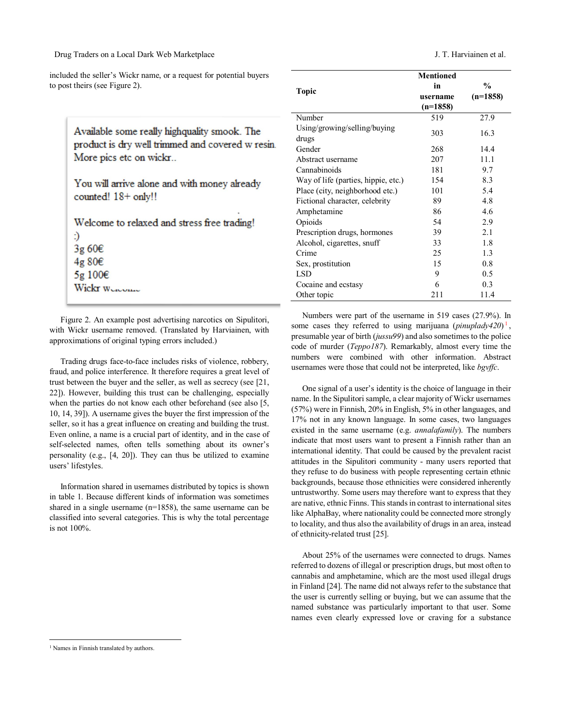Drug Traders on a Local Dark Web Marketplace J. T. Harviainen et al.

included the seller's Wickr name, or a request for potential buyers to post theirs (see Figure 2).

|                                     | <b>Mentioned</b> |               |
|-------------------------------------|------------------|---------------|
| <b>Topic</b>                        | in               | $\frac{0}{0}$ |
|                                     | username         | $(n=1858)$    |
|                                     | $(n=1858)$       |               |
| Number                              | 519              | 27.9          |
| Using/growing/selling/buying        | 303              | 16.3          |
| drugs                               |                  |               |
| Gender                              | 268              | 14.4          |
| Abstract username                   | 207              | 11.1          |
| Cannabinoids                        | 181              | 9.7           |
| Way of life (parties, hippie, etc.) | 154              | 8.3           |
| Place (city, neighborhood etc.)     | 101              | 5.4           |
| Fictional character, celebrity      | 89               | 4.8           |
| Amphetamine                         | 86               | 4.6           |
| Opioids                             | 54               | 2.9           |
| Prescription drugs, hormones        | 39               | 2.1           |
| Alcohol, cigarettes, snuff          | 33               | 1.8           |
| Crime                               | 25               | 1.3           |
| Sex, prostitution                   | 15               | 0.8           |
| <b>LSD</b>                          | 9                | 0.5           |
| Cocaine and ecstasy                 | 6                | 0.3           |
| Other topic                         | 211              | 11.4          |

Numbers were part of the username in 519 cases (27.9%). In some cases they referred to using marijuana (*pinuplady420*)<sup>[1](#page-3-0)</sup>, presumable year of birth (*jussu99*) and also sometimes to the police code of murder (*Teppo187*). Remarkably, almost every time the numbers were combined with other information. Abstract usernames were those that could not be interpreted, like *bgvffc*.

One signal of a user's identity is the choice of language in their name. In the Sipulitori sample, a clear majority of Wickr usernames (57%) were in Finnish, 20% in English, 5% in other languages, and 17% not in any known language. In some cases, two languages existed in the same username (e.g. *annalafamily*). The numbers indicate that most users want to present a Finnish rather than an international identity. That could be caused by the prevalent racist attitudes in the Sipulitori community - many users reported that they refuse to do business with people representing certain ethnic backgrounds, because those ethnicities were considered inherently untrustworthy. Some users may therefore want to express that they are native, ethnic Finns. This stands in contrast to international sites like AlphaBay, where nationality could be connected more strongly to locality, and thus also the availability of drugs in an area, instead of ethnicity-related trust [25].

About 25% of the usernames were connected to drugs. Names referred to dozens of illegal or prescription drugs, but most often to cannabis and amphetamine, which are the most used illegal drugs in Finland [24]. The name did not always refer to the substance that the user is currently selling or buying, but we can assume that the named substance was particularly important to that user. Some names even clearly expressed love or craving for a substance

Available some really highquality smook. The product is dry well trimmed and covered w resin. More pics etc on wickr...

You will arrive alone and with money already counted! 18+ only!!

Welcome to relaxed and stress free trading!

:) 3g 60€

4g 80€ 5g 100€

Wickr Wennes

Figure 2. An example post advertising narcotics on Sipulitori, with Wickr username removed. (Translated by Harviainen, with approximations of original typing errors included.)

Trading drugs face-to-face includes risks of violence, robbery, fraud, and police interference. It therefore requires a great level of trust between the buyer and the seller, as well as secrecy (see [21, 22]). However, building this trust can be challenging, especially when the parties do not know each other beforehand (see also [5, 10, 14, 39]). A username gives the buyer the first impression of the seller, so it has a great influence on creating and building the trust. Even online, a name is a crucial part of identity, and in the case of self-selected names, often tells something about its owner's personality (e.g., [4, 20]). They can thus be utilized to examine users' lifestyles.

Information shared in usernames distributed by topics is shown in table 1. Because different kinds of information was sometimes shared in a single username (n=1858), the same username can be classified into several categories. This is why the total percentage is not 100%.

<span id="page-3-0"></span><sup>&</sup>lt;sup>1</sup> Names in Finnish translated by authors.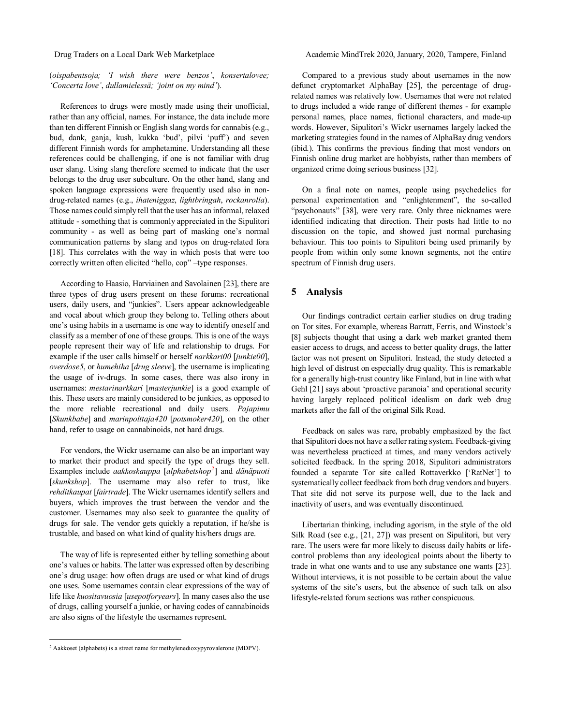## (*oispabentsoja; 'I wish there were benzos'*, *konsertalovee; 'Concerta love'*, *dullamielessä; 'joint on my mind'*).

References to drugs were mostly made using their unofficial, rather than any official, names. For instance, the data include more than ten different Finnish or English slang words for cannabis (e.g., bud, dank, ganja, kush, kukka 'bud', pilvi 'puff') and seven different Finnish words for amphetamine. Understanding all these references could be challenging, if one is not familiar with drug user slang. Using slang therefore seemed to indicate that the user belongs to the drug user subculture. On the other hand, slang and spoken language expressions were frequently used also in nondrug-related names (e.g., *ihateniggaz*, *lightbringah*, *rockanrolla*). Those names could simply tell that the user has an informal, relaxed attitude - something that is commonly appreciated in the Sipulitori community - as well as being part of masking one's normal communication patterns by slang and typos on drug-related fora [18]. This correlates with the way in which posts that were too correctly written often elicited "hello, cop" –type responses.

According to Haasio, Harviainen and Savolainen [23], there are three types of drug users present on these forums: recreational users, daily users, and "junkies". Users appear acknowledgeable and vocal about which group they belong to. Telling others about one's using habits in a username is one way to identify oneself and classify as a member of one of these groups. This is one of the ways people represent their way of life and relationship to drugs. For example if the user calls himself or herself *narkkari00* [*junkie00*], *overdose5*, or *humehiha* [*drug sleeve*], the username is implicating the usage of iv-drugs. In some cases, there was also irony in usernames: *mestarinarkkari* [*masterjunkie*] is a good example of this. These users are mainly considered to be junkies, as opposed to the more reliable recreational and daily users. *Pajapimu* [*Skunkbabe*] and *marinpolttaja420* [*potsmoker420*], on the other hand, refer to usage on cannabinoids, not hard drugs.

For vendors, the Wickr username can also be an important way to market their product and specify the type of drugs they sell. Examples include *aakkoskauppa* [*alphabetshop[2](#page-4-0)* ] and *dänäpuoti* [skunkshop]. The username may also refer to trust, like *rehditkaupat* [*fairtrade*]. The Wickr usernames identify sellers and buyers, which improves the trust between the vendor and the customer. Usernames may also seek to guarantee the quality of drugs for sale. The vendor gets quickly a reputation, if he/she is trustable, and based on what kind of quality his/hers drugs are.

The way of life is represented either by telling something about one's values or habits. The latter was expressed often by describing one's drug usage: how often drugs are used or what kind of drugs one uses. Some usernames contain clear expressions of the way of life like *kuositavuosia* [*usepotforyears*]. In many cases also the use of drugs, calling yourself a junkie, or having codes of cannabinoids are also signs of the lifestyle the usernames represent.

Drug Traders on a Local Dark Web Marketplace Academic MindTrek 2020, January, 2020, Tampere, Finland

Compared to a previous study about usernames in the now defunct cryptomarket AlphaBay [25], the percentage of drugrelated names was relatively low. Usernames that were not related to drugs included a wide range of different themes - for example personal names, place names, fictional characters, and made-up words. However, Sipulitori's Wickr usernames largely lacked the marketing strategies found in the names of AlphaBay drug vendors (ibid.). This confirms the previous finding that most vendors on Finnish online drug market are hobbyists, rather than members of organized crime doing serious business [32].

On a final note on names, people using psychedelics for personal experimentation and "enlightenment", the so-called "psychonauts" [38], were very rare. Only three nicknames were identified indicating that direction. Their posts had little to no discussion on the topic, and showed just normal purchasing behaviour. This too points to Sipulitori being used primarily by people from within only some known segments, not the entire spectrum of Finnish drug users.

# **5 Analysis**

Our findings contradict certain earlier studies on drug trading on Tor sites. For example, whereas Barratt, Ferris, and Winstock's [8] subjects thought that using a dark web market granted them easier access to drugs, and access to better quality drugs, the latter factor was not present on Sipulitori. Instead, the study detected a high level of distrust on especially drug quality. This is remarkable for a generally high-trust country like Finland, but in line with what Gehl [21] says about 'proactive paranoia' and operational security having largely replaced political idealism on dark web drug markets after the fall of the original Silk Road.

Feedback on sales was rare, probably emphasized by the fact that Sipulitori does not have a seller rating system. Feedback-giving was nevertheless practiced at times, and many vendors actively solicited feedback. In the spring 2018, Sipulitori administrators founded a separate Tor site called Rottaverkko ['RatNet'] to systematically collect feedback from both drug vendors and buyers. That site did not serve its purpose well, due to the lack and inactivity of users, and was eventually discontinued.

Libertarian thinking, including agorism, in the style of the old Silk Road (see e.g., [21, 27]) was present on Sipulitori, but very rare. The users were far more likely to discuss daily habits or lifecontrol problems than any ideological points about the liberty to trade in what one wants and to use any substance one wants [23]. Without interviews, it is not possible to be certain about the value systems of the site's users, but the absence of such talk on also lifestyle-related forum sections was rather conspicuous.

<span id="page-4-0"></span><sup>&</sup>lt;sup>2</sup> Aakkoset (alphabets) is a street name for methylenedioxypyrovalerone (MDPV).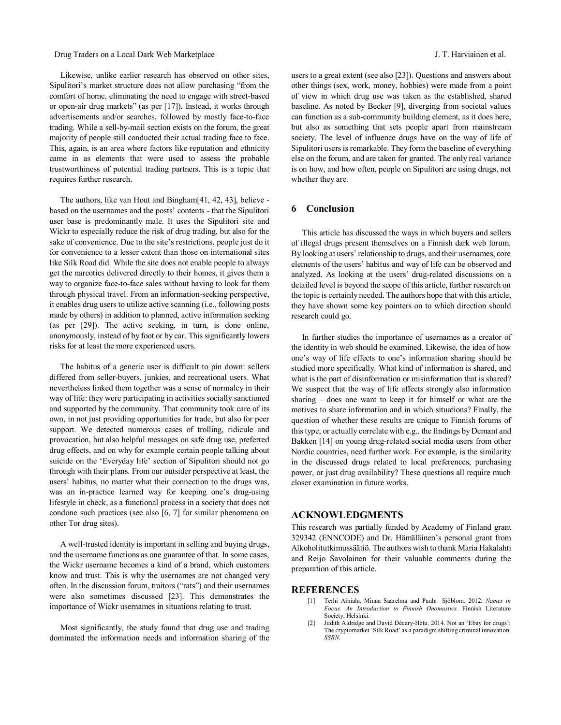#### Drug Traders on a Local Dark Web Marketplace J. T. Harviainen et al.

Likewise, unlike earlier research has observed on other sites, Sipulitori's market structure does not allow purchasing "from the comfort of home, eliminating the need to engage with street-based or open-air drug markets" (as per [17]). Instead, it works through advertisements and/or searches, followed by mostly face-to-face trading. While a sell-by-mail section exists on the forum, the great majority of people still conducted their actual trading face to face. This, again, is an area where factors like reputation and ethnicity came in as elements that were used to assess the probable trustworthiness of potential trading partners. This is a topic that requires further research.

The authors, like van Hout and Bingham[41, 42, 43], believe based on the usernames and the posts' contents - that the Sipulitori user base is predominantly male. It uses the Sipulitori site and Wickr to especially reduce the risk of drug trading, but also for the sake of convenience. Due to the site's restrictions, people just do it for convenience to a lesser extent than those on international sites like Silk Road did. While the site does not enable people to always get the narcotics delivered directly to their homes, it gives them a way to organize face-to-face sales without having to look for them through physical travel. From an information-seeking perspective, it enables drug users to utilize active scanning (i.e., following posts made by others) in addition to planned, active information seeking (as per [29]). The active seeking, in turn, is done online, anonymously, instead of by foot or by car. This significantly lowers risks for at least the more experienced users.

The habitus of a generic user is difficult to pin down: sellers differed from seller-buyers, junkies, and recreational users. What nevertheless linked them together was a sense of normalcy in their way of life: they were participating in activities socially sanctioned and supported by the community. That community took care of its own, in not just providing opportunities for trade, but also for peer support. We detected numerous cases of trolling, ridicule and provocation, but also helpful messages on safe drug use, preferred drug effects, and on why for example certain people talking about suicide on the 'Everyday life' section of Sipulitori should not go through with their plans. From our outsider perspective at least, the users' habitus, no matter what their connection to the drugs was, was an in-practice learned way for keeping one's drug-using lifestyle in check, as a functional process in a society that does not condone such practices (see also [6, 7] for similar phenomena on other Tor drug sites).

A well-trusted identity is important in selling and buying drugs, and the username functions as one guarantee of that. In some cases, the Wickr username becomes a kind of a brand, which customers know and trust. This is why the usernames are not changed very often. In the discussion forum, traitors ("rats") and their usernames were also sometimes discussed [23]. This demonstrates the importance of Wickr usernames in situations relating to trust.

Most significantly, the study found that drug use and trading dominated the information needs and information sharing of the users to a great extent (see also [23]). Questions and answers about other things (sex, work, money, hobbies) were made from a point of view in which drug use was taken as the established, shared baseline. As noted by Becker [9], diverging from societal values can function as a sub-community building element, as it does here, but also as something that sets people apart from mainstream society. The level of influence drugs have on the way of life of Sipulitori users is remarkable. They form the baseline of everything else on the forum, and are taken for granted. The only real variance is on how, and how often, people on Sipulitori are using drugs, not whether they are.

# **6 Conclusion**

This article has discussed the ways in which buyers and sellers of illegal drugs present themselves on a Finnish dark web forum. By looking at users' relationship to drugs, and their usernames, core elements of the users' habitus and way of life can be observed and analyzed. As looking at the users' drug-related discussions on a detailed level is beyond the scope of this article, further research on the topic is certainly needed. The authors hope that with this article, they have shown some key pointers on to which direction should research could go.

In further studies the importance of usernames as a creator of the identity in web should be examined. Likewise, the idea of how one's way of life effects to one's information sharing should be studied more specifically. What kind of information is shared, and what is the part of disinformation or misinformation that is shared? We suspect that the way of life affects strongly also information sharing – does one want to keep it for himself or what are the motives to share information and in which situations? Finally, the question of whether these results are unique to Finnish forums of this type, or actually correlate with e.g., the findings by Demant and Bakken [14] on young drug-related social media users from other Nordic countries, need further work. For example, is the similarity in the discussed drugs related to local preferences, purchasing power, or just drug availability? These questions all require much closer examination in future works.

### **ACKNOWLEDGMENTS**

This research was partially funded by Academy of Finland grant 329342 (ENNCODE) and Dr. Hämäläinen's personal grant from Alkoholitutkimussäätiö. The authors wish to thank Maria Hakalahti and Reijo Savolainen for their valuable comments during the preparation of this article.

#### **REFERENCES**

- [1] Terhi Ainiala, Minna Saarelma and Paula Sjöblom. 2012. *Names in Focus. An Introduction to Finnish Onomastics.* Finnish Literature Society, Helsinki.
- [2] Judith Aldridge and David Décary-Hétu. 2014. Not an 'Ebay for drugs': The cryptomarket 'Silk Road' as a paradigm shifting criminal innovation. *SSRN*.